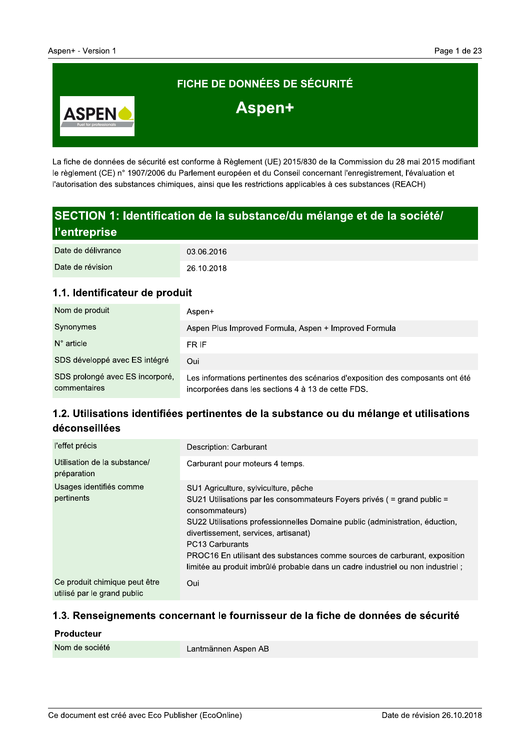

La fiche de données de sécurité est conforme à Règlement (UE) 2015/830 de la Commission du 28 mai 2015 modifiant le règlement (CE) n° 1907/2006 du Parlement européen et du Conseil concernant l'enregistrement, l'évaluation et l'autorisation des substances chimiques, ainsi que les restrictions applicables à ces substances (REACH)

# SECTION 1: Identification de la substance/du mélange et de la société/ l'entreprise

| Date de délivrance | 03.06.2016 |
|--------------------|------------|
| Date de révision   | 26.10.2018 |

#### 1.1. Identificateur de produit

| Nom de produit                                  | Aspen+                                                                                                                               |
|-------------------------------------------------|--------------------------------------------------------------------------------------------------------------------------------------|
| Synonymes                                       | Aspen Plus Improved Formula, Aspen + Improved Formula                                                                                |
| $N^{\circ}$ article                             | FR IF                                                                                                                                |
| SDS développé avec ES intégré                   | Oui                                                                                                                                  |
| SDS prolongé avec ES incorporé,<br>commentaires | Les informations pertinentes des scénarios d'exposition des composants ont été<br>incorporées dans les sections 4 à 13 de cette FDS. |

# 1.2. Utilisations identifiées pertinentes de la substance ou du mélange et utilisations déconseillées

| l'effet précis                                               | Description: Carburant                                                                                                                                                                                                                                                                                                                                                                                                                            |  |
|--------------------------------------------------------------|---------------------------------------------------------------------------------------------------------------------------------------------------------------------------------------------------------------------------------------------------------------------------------------------------------------------------------------------------------------------------------------------------------------------------------------------------|--|
| Utilisation de la substance/<br>préparation                  | Carburant pour moteurs 4 temps.                                                                                                                                                                                                                                                                                                                                                                                                                   |  |
| Usages identifiés comme<br>pertinents                        | SU1 Agriculture, sylviculture, pêche<br>SU21 Utilisations par les consommateurs Foyers privés ( $=$ grand public $=$<br>consommateurs)<br>SU22 Utilisations professionnelles Domaine public (administration, éduction,<br>divertissement, services, artisanat)<br>PC13 Carburants<br>PROC16 En utilisant des substances comme sources de carburant, exposition<br>limitée au produit imbrûlé probable dans un cadre industriel ou non industriel; |  |
| Ce produit chimique peut être<br>utilisé par le grand public | Oui                                                                                                                                                                                                                                                                                                                                                                                                                                               |  |

#### 1.3. Renseignements concernant le fournisseur de la fiche de données de sécurité

#### Producteur

| Nom de société |
|----------------|
|----------------|

Lantmännen Aspen AB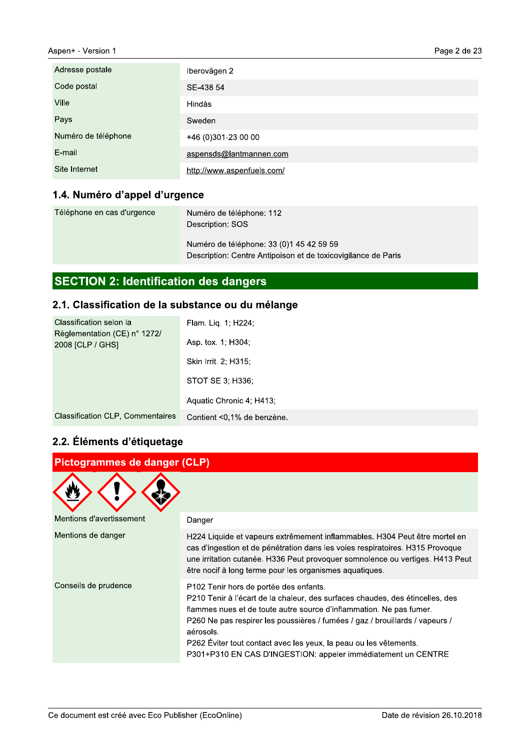| Aspen+ - Version 1  |                            | Page 2 de 2 |
|---------------------|----------------------------|-------------|
| Adresse postale     | Iberovägen 2               |             |
| Code postal         | SE-438 54                  |             |
| Ville               | Hindås                     |             |
| Pays                | Sweden                     |             |
| Numéro de téléphone | +46 (0)301-23 00 00        |             |
| E-mail              | aspensds@lantmannen.com    |             |
| Site Internet       | http://www.aspenfuels.com/ |             |

# 1.4. numero d´appel d´urgence

| Téléphone en cas d'urgence | Numéro de téléphone: 112<br>Description: SOS                                                              |
|----------------------------|-----------------------------------------------------------------------------------------------------------|
|                            | Numéro de téléphone: 33 (0) 145 42 59 59<br>Description: Centre Antipoison et de toxicovigilance de Paris |

# SECTION 2: Identification des dangers

# 2.1. Classification de la substance ou du melange

| Classification selon la                          | Flam. Lig. 1; H224;        |  |
|--------------------------------------------------|----------------------------|--|
| Règlementation (CE) n° 1272/<br>2008 [CLP / GHS] | Asp. tox. 1; H304;         |  |
|                                                  | Skin Irrit. 2: H315:       |  |
|                                                  | STOT SE 3; H336;           |  |
|                                                  | Aquatic Chronic 4; H413;   |  |
| <b>Classification CLP, Commentaires</b>          | Contient <0,1% de benzène. |  |
| 2.2. Éléments d'étiquetage                       |                            |  |
| Pictogrammes de danger (CLP)                     |                            |  |
|                                                  |                            |  |

# 2.2. Elements d'etiquetage

| Pictogrammes de danger (CLP)                        |                                                                                                                                                                                                                                                                                                                                                                                                                                   |  |
|-----------------------------------------------------|-----------------------------------------------------------------------------------------------------------------------------------------------------------------------------------------------------------------------------------------------------------------------------------------------------------------------------------------------------------------------------------------------------------------------------------|--|
|                                                     |                                                                                                                                                                                                                                                                                                                                                                                                                                   |  |
| Mentions d'avertissement                            | Danger                                                                                                                                                                                                                                                                                                                                                                                                                            |  |
| Mentions de danger                                  | H224 Liquide et vapeurs extrêmement inflammables. H304 Peut être mortel en<br>cas d'ingestion et de pénétration dans les voies respiratoires. H315 Provoque<br>une irritation cutanée. H336 Peut provoquer somnolence ou vertiges. H413 Peut<br>être nocif à long terme pour les organismes aquatiques.                                                                                                                           |  |
| Conseils de prudence                                | P102 Tenir hors de portée des enfants.<br>P210 Tenir à l'écart de la chaleur, des surfaces chaudes, des étincelles, des<br>flammes nues et de toute autre source d'inflammation. Ne pas fumer.<br>P260 Ne pas respirer les poussières / fumées / gaz / brouillards / vapeurs /<br>aérosols.<br>P262 Éviter tout contact avec les yeux, la peau ou les vêtements.<br>P301+P310 EN CAS D'INGESTION: appeler immédiatement un CENTRE |  |
| Ce document est créé avec Eco Publisher (EcoOnline) | Date de révision 26.10.2018                                                                                                                                                                                                                                                                                                                                                                                                       |  |
|                                                     |                                                                                                                                                                                                                                                                                                                                                                                                                                   |  |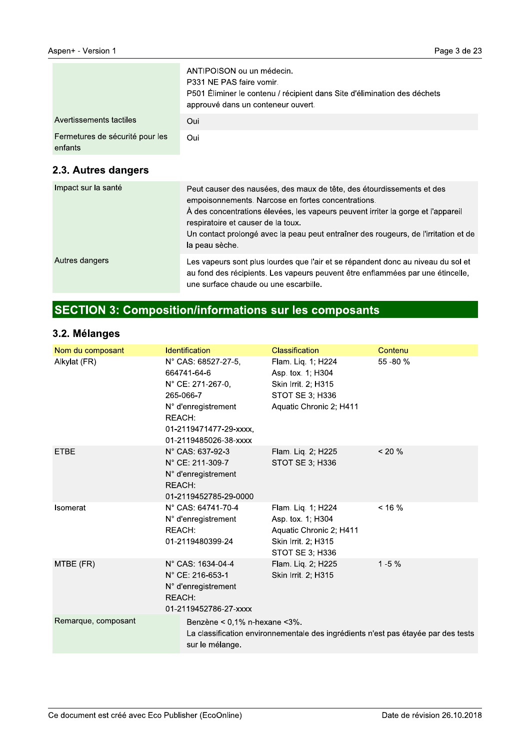|                                            | ANTIPOISON ou un médecin.<br>P331 NE PAS faire vomir.<br>P501 Éliminer le contenu / récipient dans Site d'élimination des déchets<br>approuvé dans un conteneur ouvert. |
|--------------------------------------------|-------------------------------------------------------------------------------------------------------------------------------------------------------------------------|
| Avertissements tactiles                    | Oui                                                                                                                                                                     |
| Fermetures de sécurité pour les<br>enfants | Oui                                                                                                                                                                     |

### 2.3. Autres dangers

| Impact sur la santé | Peut causer des nausées, des maux de tête, des étourdissements et des<br>empoisonnements. Narcose en fortes concentrations.<br>À des concentrations élevées, les vapeurs peuvent irriter la gorge et l'appareil<br>respiratoire et causer de la toux.<br>Un contact prolongé avec la peau peut entraîner des rougeurs, de l'irritation et de<br>la peau sèche. |
|---------------------|----------------------------------------------------------------------------------------------------------------------------------------------------------------------------------------------------------------------------------------------------------------------------------------------------------------------------------------------------------------|
| Autres dangers      | Les vapeurs sont plus lourdes que l'air et se répandent donc au niveau du sol et<br>au fond des récipients. Les vapeurs peuvent être enflammées par une étincelle,<br>une surface chaude ou une escarbille.                                                                                                                                                    |

# **SECTION 3: Composition/informations sur les composants**

### 3.2. Mélanges

| Nom du composant    | Identification                                                                                                                                           | <b>Classification</b>                                                                                        | Contenu    |
|---------------------|----------------------------------------------------------------------------------------------------------------------------------------------------------|--------------------------------------------------------------------------------------------------------------|------------|
| Alkylat (FR)        | N° CAS: 68527-27-5,<br>664741-64-6<br>N° CE: 271-267-0,<br>265-066-7<br>N° d'enregistrement<br>REACH:<br>01-2119471477-29-xxxx,<br>01-2119485026-38-xxxx | Flam. Liq. 1; H224<br>Asp. tox. 1; H304<br>Skin Irrit. 2; H315<br>STOT SE 3; H336<br>Aquatic Chronic 2; H411 | 55 - 80 %  |
| <b>ETBE</b>         | N° CAS: 637-92-3<br>N° CE: 211-309-7<br>N° d'enregistrement<br>REACH:<br>01-2119452785-29-0000                                                           | Flam. Lig. 2; H225<br>STOT SE 3; H336                                                                        | $< 20 \%$  |
| Isomerat            | N° CAS: 64741-70-4<br>N° d'enregistrement<br>REACH:<br>01-2119480399-24                                                                                  | Flam. Liq. 1; H224<br>Asp. tox. 1; H304<br>Aquatic Chronic 2; H411<br>Skin Irrit. 2; H315<br>STOT SE 3; H336 | $< 16 \%$  |
| MTBE (FR)           | N° CAS: 1634-04-4<br>N° CE: 216-653-1<br>N° d'enregistrement<br>REACH:<br>01-2119452786-27-xxxx                                                          | Flam. Lig. 2; H225<br>Skin Irrit. 2; H315                                                                    | $1 - 5 \%$ |
| Remarque, composant | Benzène < $0,1\%$ n-hexane < $3\%$ .<br>sur le mélange.                                                                                                  | La classification environnementale des ingrédients n'est pas étayée par des tests                            |            |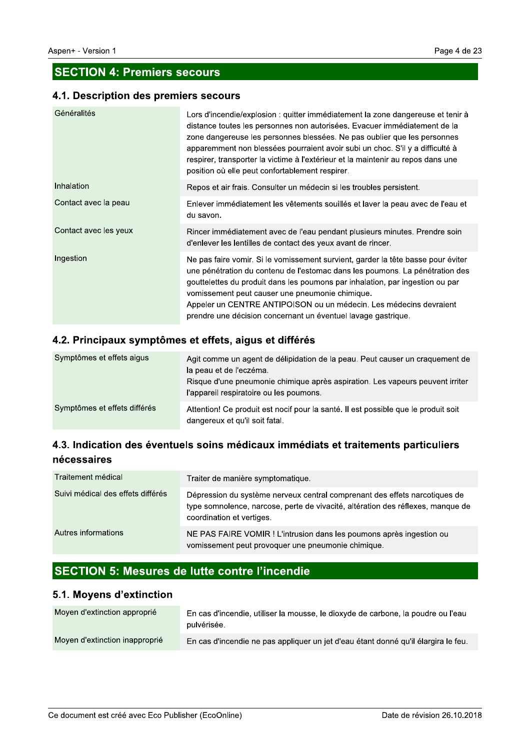### **SECTION 4: Premiers secours**

#### 4.1. Description des premiers secours

| Généralités           | Lors d'incendie/explosion : quitter immédiatement la zone dangereuse et tenir à<br>distance toutes les personnes non autorisées. Evacuer immédiatement de la<br>zone dangereuse les personnes blessées. Ne pas oublier que les personnes<br>apparemment non blessées pourraient avoir subi un choc. S'il y a difficulté à<br>respirer, transporter la victime à l'extérieur et la maintenir au repos dans une<br>position où elle peut confortablement respirer. |
|-----------------------|------------------------------------------------------------------------------------------------------------------------------------------------------------------------------------------------------------------------------------------------------------------------------------------------------------------------------------------------------------------------------------------------------------------------------------------------------------------|
| Inhalation            | Repos et air frais. Consulter un médecin si les troubles persistent.                                                                                                                                                                                                                                                                                                                                                                                             |
| Contact avec la peau  | Enlever immédiatement les vêtements souillés et laver la peau avec de l'eau et<br>du savon.                                                                                                                                                                                                                                                                                                                                                                      |
| Contact avec les yeux | Rincer immédiatement avec de l'eau pendant plusieurs minutes. Prendre soin<br>d'enlever les lentilles de contact des yeux avant de rincer.                                                                                                                                                                                                                                                                                                                       |
| Ingestion             | Ne pas faire vomir. Si le vomissement survient, garder la tête basse pour éviter<br>une pénétration du contenu de l'estomac dans les poumons. La pénétration des<br>gouttelettes du produit dans les poumons par inhalation, par ingestion ou par<br>vomissement peut causer une pneumonie chimique.<br>Appeler un CENTRE ANTIPOISON ou un médecin. Les médecins devraient<br>prendre une décision concernant un éventuel lavage gastrique.                      |

#### 4.2. Principaux symptômes et effets, aigus et différés

| Symptômes et effets aigus    | Agit comme un agent de délipidation de la peau. Peut causer un craguement de<br>la peau et de l'eczéma.<br>Risque d'une pneumonie chimique après aspiration. Les vapeurs peuvent irriter<br>l'appareil respiratoire ou les poumons. |
|------------------------------|-------------------------------------------------------------------------------------------------------------------------------------------------------------------------------------------------------------------------------------|
| Symptômes et effets différés | Attention! Ce produit est nocif pour la santé. Il est possible que le produit soit<br>dangereux et qu'il soit fatal.                                                                                                                |

# 4.3. Indication des éventuels soins médicaux immédiats et traitements particuliers nécessaires

| Traitement médical                | Traiter de manière symptomatique.                                                                                                                                                          |
|-----------------------------------|--------------------------------------------------------------------------------------------------------------------------------------------------------------------------------------------|
| Suivi médical des effets différés | Dépression du système nerveux central comprenant des effets narcotiques de<br>type somnolence, narcose, perte de vivacité, altération des réflexes, manque de<br>coordination et vertiges. |
| Autres informations               | NE PAS FAIRE VOMIR ! L'intrusion dans les poumons après ingestion ou<br>vomissement peut provoquer une pneumonie chimique.                                                                 |

# SECTION 5: Mesures de lutte contre l'incendie

#### 5.1. Moyens d'extinction

| Moyen d'extinction approprié   | En cas d'incendie, utiliser la mousse, le dioxyde de carbone, la poudre ou l'eau<br>pulvérisée. |
|--------------------------------|-------------------------------------------------------------------------------------------------|
| Moyen d'extinction inapproprié | En cas d'incendie ne pas appliquer un jet d'eau étant donné qu'il élargira le feu.              |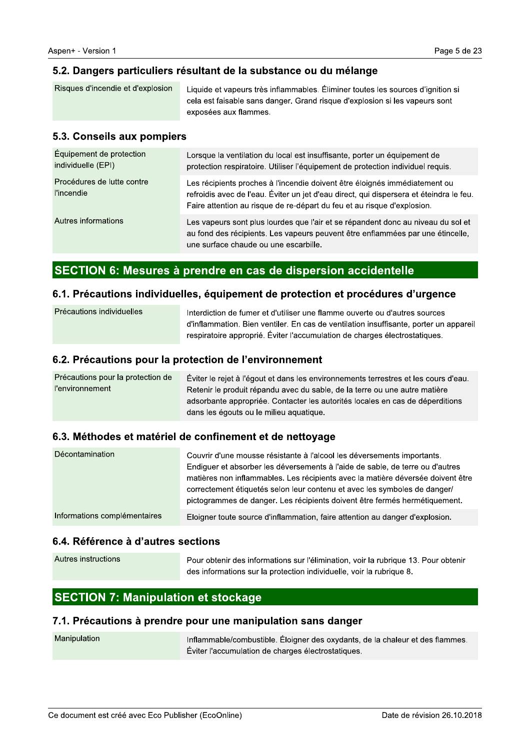# 5.2. Dangers particuliers resultant de la substance ou du melange

| Risques d'incendie et d'explosion | Liquide et vapeurs très inflammables. Eliminer toutes les sources d'ignition si<br>cela est faisable sans danger. Grand risque d'explosion si les vapeurs sont<br>exposées aux flammes. |
|-----------------------------------|-----------------------------------------------------------------------------------------------------------------------------------------------------------------------------------------|
|                                   |                                                                                                                                                                                         |

# 5.3. Consells aux pompiers

| Équipement de protection<br>individuelle (EPI)                 | Lorsque la ventilation du local est insuffisante, porter un équipement de<br>protection respiratoire. Utiliser l'équipement de protection individuel requis.                                                                                       |  |
|----------------------------------------------------------------|----------------------------------------------------------------------------------------------------------------------------------------------------------------------------------------------------------------------------------------------------|--|
| Procédures de lutte contre<br>l'incendie                       | Les récipients proches à l'incendie doivent être éloignés immédiatement ou<br>refroidis avec de l'eau. Éviter un jet d'eau direct, qui dispersera et éteindra le feu.<br>Faire attention au risque de re-départ du feu et au risque d'explosion.   |  |
| Autres informations                                            | Les vapeurs sont plus lourdes que l'air et se répandent donc au niveau du sol et<br>au fond des récipients. Les vapeurs peuvent être enflammées par une étincelle,<br>une surface chaude ou une escarbille.                                        |  |
| SECTION 6: Mesures à prendre en cas de dispersion accidentelle |                                                                                                                                                                                                                                                    |  |
|                                                                |                                                                                                                                                                                                                                                    |  |
|                                                                | 6.1. Précautions individuelles, équipement de protection et procédures d'urgence                                                                                                                                                                   |  |
| Précautions individuelles                                      | Interdiction de fumer et d'utiliser une flamme ouverte ou d'autres sources<br>d'inflammation. Bien ventiler. En cas de ventilation insuffisante, porter un appareil<br>respiratoire approprié. Éviter l'accumulation de charges électrostatiques.  |  |
| 6.2. Précautions pour la protection de l'environnement         |                                                                                                                                                                                                                                                    |  |
| Précautions pour la protection de<br>l'environnement           | Éviter le rejet à l'égout et dans les environnements terrestres et les cours d'eau.<br>Retenir le produit répandu avec du sable, de la terre ou une autre matière<br>adeorhante annroprióe. Contacter les autorités locales en cas de déperditions |  |

# SECTION 6: Mesures a prendre en cas de dispersion accidentelle

# $\,$ b.1. Precautions individuelles, equipement de protection et procedures d'urgence  $\,$

| Précautions individuelles | Interdiction de fumer et d'utiliser une flamme ouverte ou d'autres sources<br>d'inflammation. Bien ventiler. En cas de ventilation insuffisante, porter un appareil<br>respiratoire approprié. Éviter l'accumulation de charges électrostatiques. |
|---------------------------|---------------------------------------------------------------------------------------------------------------------------------------------------------------------------------------------------------------------------------------------------|
|                           |                                                                                                                                                                                                                                                   |

## b.2. Precautions pour la protection de l'environnement  $\,$

| Précautions pour la protection de | Éviter le rejet à l'égout et dans les environnements terrestres et les cours d'eau. |
|-----------------------------------|-------------------------------------------------------------------------------------|
| l'environnement                   | Retenir le produit répandu avec du sable, de la terre ou une autre matière          |
|                                   | adsorbante appropriée. Contacter les autorités locales en cas de déperditions       |
|                                   | dans les égouts ou le milieu aquatique.                                             |

# b.3. Methodes et materiel de confinement et de nettoyage i

| Décontamination              | Couvrir d'une mousse résistante à l'alcool les déversements importants.<br>Endiguer et absorber les déversements à l'aide de sable, de terre ou d'autres<br>matières non inflammables. Les récipients avec la matière déversée doivent être<br>correctement étiquetés selon leur contenu et avec les symboles de danger/<br>pictogrammes de danger. Les récipients doivent être fermés hermétiquement. |
|------------------------------|--------------------------------------------------------------------------------------------------------------------------------------------------------------------------------------------------------------------------------------------------------------------------------------------------------------------------------------------------------------------------------------------------------|
| Informations complémentaires | Eloigner toute source d'inflammation, faire attention au danger d'explosion.                                                                                                                                                                                                                                                                                                                           |

# $\,$ b.4. Reference a d'autres sections

| Autres instructions | Pour obtenir des informations sur l'élimination, voir la rubrique 13, Pour obtenir |
|---------------------|------------------------------------------------------------------------------------|
|                     | des informations sur la protection individuelle, voir la rubrique 8.               |

# $\overline{\text{SEC}}$ TION 7: Manipulation et stockage

### $7.1.$  Precautions a prendre pour une manipulation sans danger

| Manipulation | Inflammable/combustible. Éloigner des oxydants, de la chaleur et des flammes. |
|--------------|-------------------------------------------------------------------------------|
|              | Éviter l'accumulation de charges électrostatiques.                            |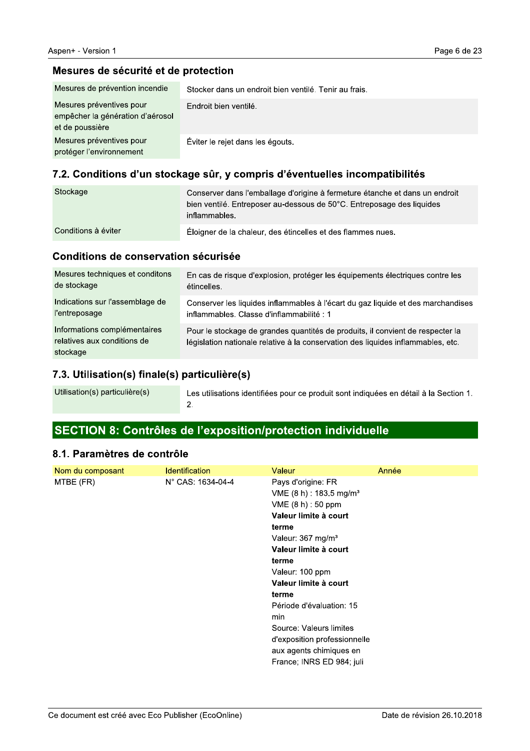#### Mesures de sécurité et de protection

| Mesures de prévention incendie                                                  | Stocker dans un endroit bien ventilé. Tenir au frais. |
|---------------------------------------------------------------------------------|-------------------------------------------------------|
| Mesures préventives pour<br>empêcher la génération d'aérosol<br>et de poussière | Endroit bien ventilé.                                 |
| Mesures préventives pour<br>protéger l'environnement                            | Éviter le rejet dans les égouts.                      |

#### 7.2. Conditions d'un stockage sûr, y compris d'éventuelles incompatibilités

| Stockage            | Conserver dans l'emballage d'origine à fermeture étanche et dans un endroit<br>bien ventilé. Entreposer au-dessous de 50°C. Entreposage des liquides<br>inflammables. |
|---------------------|-----------------------------------------------------------------------------------------------------------------------------------------------------------------------|
| Conditions à éviter | Éloigner de la chaleur, des étincelles et des flammes nues.                                                                                                           |

#### Conditions de conservation sécurisée

| Mesures techniques et conditons                                         | En cas de risque d'explosion, protéger les équipements électriques contre les                                                                                      |
|-------------------------------------------------------------------------|--------------------------------------------------------------------------------------------------------------------------------------------------------------------|
| de stockage                                                             | étincelles.                                                                                                                                                        |
| Indications sur l'assemblage de                                         | Conserver les liquides inflammables à l'écart du gaz liquide et des marchandises                                                                                   |
| l'entreposage                                                           | inflammables. Classe d'inflammabilité : 1                                                                                                                          |
| Informations complémentaires<br>relatives aux conditions de<br>stockage | Pour le stockage de grandes quantités de produits, il convient de respecter la<br>législation nationale relative à la conservation des liquides inflammables, etc. |

#### 7.3. Utilisation(s) finale(s) particulière(s)

Les utilisations identifiées pour ce produit sont indiquées en détail à la Section 1.  $\overline{2}$ .

# SECTION 8: Contrôles de l'exposition/protection individuelle

#### 8.1. Paramètres de contrôle

| Nom du composant | <b>Identification</b> | Valeur                                | Année |
|------------------|-----------------------|---------------------------------------|-------|
| MTBE (FR)        | N° CAS: 1634-04-4     | Pays d'origine: FR                    |       |
|                  |                       | $VME$ (8 h) : 183.5 mg/m <sup>3</sup> |       |
|                  |                       | VME (8 h) : 50 ppm                    |       |
|                  |                       | Valeur limite à court                 |       |
|                  |                       | terme                                 |       |
|                  |                       | Valeur: 367 mg/m <sup>3</sup>         |       |
|                  |                       | Valeur limite à court                 |       |
|                  |                       | terme                                 |       |
|                  |                       | Valeur: 100 ppm                       |       |
|                  |                       | Valeur limite à court                 |       |
|                  |                       | terme                                 |       |
|                  |                       | Période d'évaluation: 15              |       |
|                  |                       | min                                   |       |
|                  |                       | Source: Valeurs limites               |       |
|                  |                       | d'exposition professionnelle          |       |
|                  |                       | aux agents chimiques en               |       |
|                  |                       | France; INRS ED 984; juli             |       |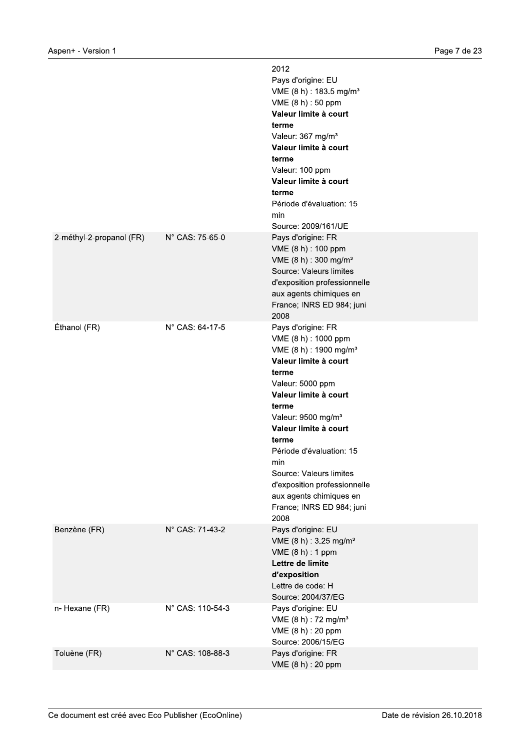| Aspen+ - Version 1       |                  |                                                                                                                                                                                                                                                                                                                                                                                                            | Page 7 de 23 |
|--------------------------|------------------|------------------------------------------------------------------------------------------------------------------------------------------------------------------------------------------------------------------------------------------------------------------------------------------------------------------------------------------------------------------------------------------------------------|--------------|
|                          |                  | 2012<br>Pays d'origine: EU<br>VME (8 h) : 183.5 mg/m <sup>3</sup><br>VME (8 h) : 50 ppm<br>Valeur limite à court<br>terme<br>Valeur: 367 mg/m <sup>3</sup><br>Valeur limite à court<br>terme<br>Valeur: 100 ppm<br>Valeur limite à court<br>terme<br>Période d'évaluation: 15<br>min<br>Source: 2009/161/UE                                                                                                |              |
| 2-méthyl-2-propanol (FR) | N° CAS: 75-65-0  | Pays d'origine: FR<br>VME (8 h) : 100 ppm<br>VME (8 h) : 300 mg/m <sup>3</sup><br>Source: Valeurs limites<br>d'exposition professionnelle<br>aux agents chimiques en<br>France; INRS ED 984; juni<br>2008                                                                                                                                                                                                  |              |
| Éthanol (FR)             | N° CAS: 64-17-5  | Pays d'origine: FR<br>VME (8 h) : 1000 ppm<br>VME (8 h) : 1900 mg/m <sup>3</sup><br>Valeur limite à court<br>terme<br>Valeur: 5000 ppm<br>Valeur limite à court<br>terme<br>Valeur: 9500 mg/m <sup>3</sup><br>Valeur limite à court<br>terme<br>Période d'évaluation: 15<br>min<br>Source: Valeurs limites<br>d'exposition professionnelle<br>aux agents chimiques en<br>France; INRS ED 984; juni<br>2008 |              |
| Benzène (FR)             | N° CAS: 71-43-2  | Pays d'origine: EU<br>VME (8 h) : 3.25 mg/m <sup>3</sup><br>VME (8 h) : 1 ppm<br>Lettre de limite<br>d'exposition<br>Lettre de code: H<br>Source: 2004/37/EG                                                                                                                                                                                                                                               |              |
| n- Hexane (FR)           | N° CAS: 110-54-3 | Pays d'origine: EU<br>VME (8 h) : 72 mg/m <sup>3</sup><br>VME (8 h) : 20 ppm<br>Source: 2006/15/EG                                                                                                                                                                                                                                                                                                         |              |
| Toluène (FR)             | N° CAS: 108-88-3 | Pays d'origine: FR<br>VME (8 h) : 20 ppm                                                                                                                                                                                                                                                                                                                                                                   |              |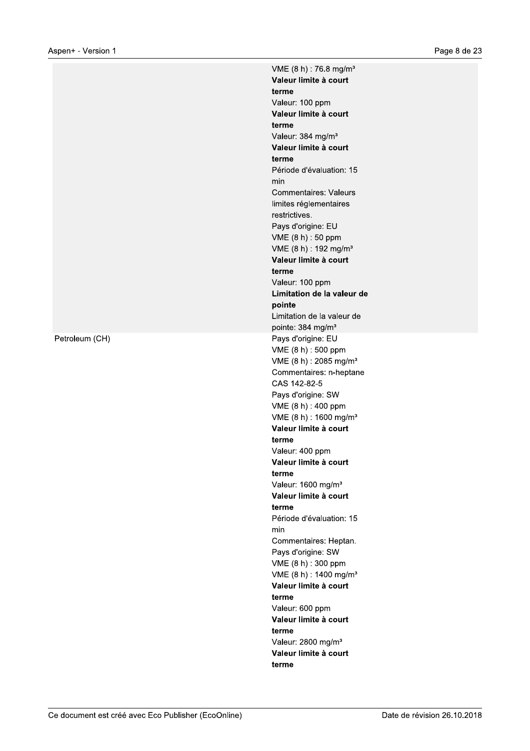Petroleum (CH)

VME (8 h) : 76.8 mg/m<sup>3</sup> Valeur limite à court terme Valeur: 100 ppm Valeur limite à court terme Valeur: 384 mg/m<sup>3</sup> Valeur limite à court terme Période d'évaluation: 15 min **Commentaires: Valeurs** limites réglementaires restrictives. Pays d'origine: EU VME (8 h) : 50 ppm VME (8 h) : 192 mg/m<sup>3</sup> Valeur limite à court terme Valeur: 100 ppm Limitation de la valeur de pointe Limitation de la valeur de pointe: 384 mg/m<sup>3</sup> Pays d'origine: EU VME (8 h) : 500 ppm VME (8 h) : 2085 mg/m<sup>3</sup> Commentaires: n-heptane CAS 142-82-5 Pays d'origine: SW VME (8 h) : 400 ppm VME (8 h) : 1600 mg/m<sup>3</sup> Valeur limite à court terme Valeur: 400 ppm Valeur limite à court terme Valeur: 1600 mg/m<sup>3</sup> Valeur limite à court terme Période d'évaluation: 15 min Commentaires: Heptan. Pays d'origine: SW VME (8 h) : 300 ppm VME (8 h) : 1400 mg/m<sup>3</sup> Valeur limite à court terme Valeur: 600 ppm Valeur limite à court terme Valeur: 2800 mg/m<sup>3</sup> Valeur limite à court terme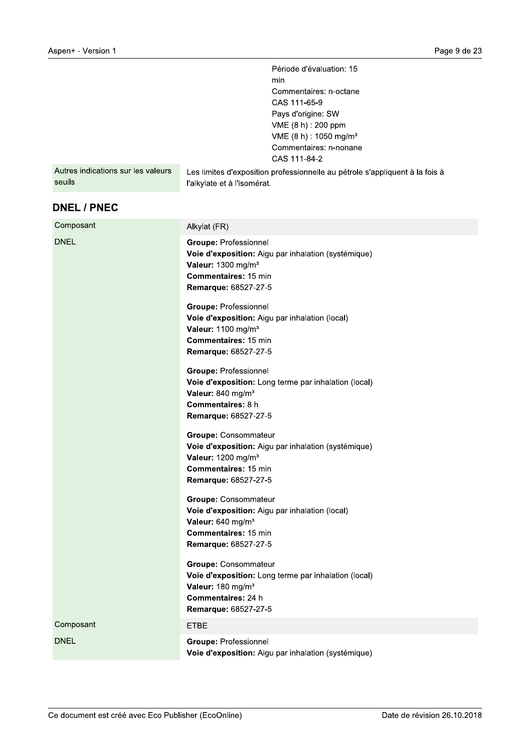|                                              | Page 9 d                                                                                                    |
|----------------------------------------------|-------------------------------------------------------------------------------------------------------------|
|                                              | Période d'évaluation: 15                                                                                    |
|                                              | min                                                                                                         |
|                                              | Commentaires: n-octane<br>CAS 111-65-9                                                                      |
|                                              | Pays d'origine: SW                                                                                          |
|                                              | VME (8 h) : 200 ppm                                                                                         |
|                                              | VME (8 h) : 1050 mg/m <sup>3</sup><br>Commentaires: n-nonane                                                |
|                                              | CAS 111-84-2                                                                                                |
| Autres indications sur les valeurs<br>seuils | Les limites d'exposition professionnelle au pétrole s'appliquent à la fois à<br>l'alkylate et à l'isomérat. |
| <b>DNEL / PNEC</b>                           |                                                                                                             |
| Composant                                    | Alkylat (FR)                                                                                                |
| <b>DNEL</b>                                  | <b>Groupe: Professionnel</b>                                                                                |
|                                              | Voie d'exposition: Aigu par inhalation (systémique)<br>Valeur: 1300 mg/m <sup>3</sup>                       |
|                                              | Commentaires: 15 min                                                                                        |
|                                              | Remarque: 68527-27-5                                                                                        |
|                                              | <b>Groupe: Professionnel</b>                                                                                |
|                                              | Voie d'exposition: Aigu par inhalation (local)                                                              |
|                                              | Valeur: 1100 mg/m <sup>3</sup>                                                                              |
|                                              | Commentaires: 15 min<br>Remarque: 68527-27-5                                                                |
|                                              | Groupe: Professionnel                                                                                       |
|                                              | Voie d'exposition: Long terme par inhalation (local)                                                        |
|                                              | Valeur: 840 mg/m <sup>3</sup>                                                                               |
|                                              | Commentaires: 8 h<br>Remarque: 68527-27-5                                                                   |
|                                              |                                                                                                             |
|                                              | <b>Groupe: Consommateur</b><br>Voie d'exposition: Aigu par inhalation (systémique)                          |
|                                              | Valeur: 1200 mg/m <sup>3</sup>                                                                              |
|                                              | Commentaires: 15 min<br>Remarque: 68527-27-5                                                                |
|                                              |                                                                                                             |
|                                              | <b>Groupe: Consommateur</b><br>Voie d'exposition: Aigu par inhalation (local)                               |
|                                              | Valeur: 640 mg/m <sup>3</sup>                                                                               |
|                                              | Commentaires: 15 min                                                                                        |
|                                              | Remarque: 68527-27-5                                                                                        |
|                                              | <b>Groupe: Consommateur</b>                                                                                 |
|                                              | Voie d'exposition: Long terme par inhalation (local)<br>Valeur: 180 mg/m <sup>3</sup>                       |
|                                              | Commentaires: 24 h                                                                                          |
|                                              | Remarque: 68527-27-5                                                                                        |
| Composant                                    | <b>ETBE</b>                                                                                                 |
| <b>DNEL</b>                                  | <b>Groupe: Professionnel</b>                                                                                |
|                                              | Voie d'exposition: Aigu par inhalation (systémique)                                                         |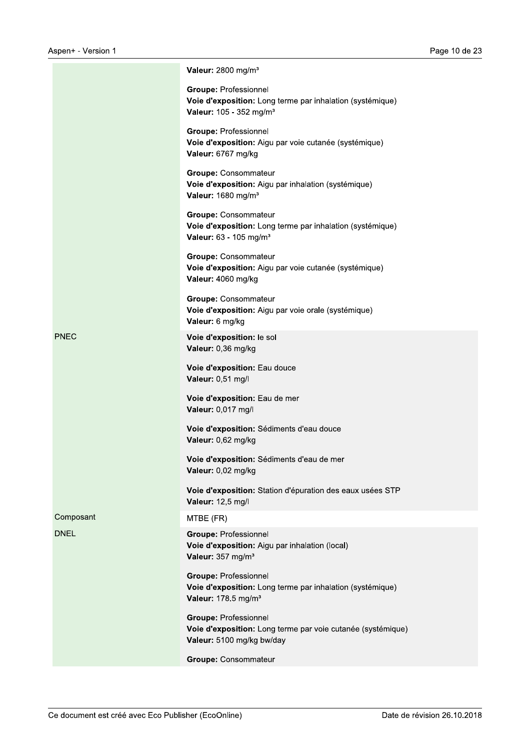|             | Valeur: 2800 mg/m <sup>3</sup>                                                                                                   |
|-------------|----------------------------------------------------------------------------------------------------------------------------------|
|             | <b>Groupe: Professionnel</b><br>Voie d'exposition: Long terme par inhalation (systémique)<br>Valeur: 105 - 352 mg/m <sup>3</sup> |
|             | <b>Groupe: Professionnel</b><br>Voie d'exposition: Aigu par voie cutanée (systémique)<br>Valeur: 6767 mg/kg                      |
|             | Groupe: Consommateur<br>Voie d'exposition: Aigu par inhalation (systémique)<br>Valeur: 1680 mg/m <sup>3</sup>                    |
|             | Groupe: Consommateur<br>Voie d'exposition: Long terme par inhalation (systémique)<br>Valeur: 63 - 105 mg/m <sup>3</sup>          |
|             | <b>Groupe: Consommateur</b><br>Voie d'exposition: Aigu par voie cutanée (systémique)<br>Valeur: 4060 mg/kg                       |
|             | <b>Groupe: Consommateur</b><br>Voie d'exposition: Aigu par voie orale (systémique)<br>Valeur: 6 mg/kg                            |
| <b>PNEC</b> | Voie d'exposition: le sol<br>Valeur: 0,36 mg/kg                                                                                  |
|             | Voie d'exposition: Eau douce<br>Valeur: 0,51 mg/l                                                                                |
|             | Voie d'exposition: Eau de mer<br>Valeur: 0,017 mg/l                                                                              |
|             | Voie d'exposition: Sédiments d'eau douce<br>Valeur: 0,62 mg/kg                                                                   |
|             | Voie d'exposition: Sédiments d'eau de mer<br>Valeur: 0,02 mg/kg                                                                  |
|             | Voie d'exposition: Station d'épuration des eaux usées STP<br>Valeur: 12,5 mg/l                                                   |
| Composant   | MTBE (FR)                                                                                                                        |
| <b>DNEL</b> | <b>Groupe: Professionnel</b><br>Voie d'exposition: Aigu par inhalation (local)<br>Valeur: 357 mg/m <sup>3</sup>                  |
|             | <b>Groupe: Professionnel</b><br>Voie d'exposition: Long terme par inhalation (systémique)<br>Valeur: 178.5 mg/m <sup>3</sup>     |
|             | <b>Groupe: Professionnel</b><br>Voie d'exposition: Long terme par voie cutanée (systémique)<br>Valeur: 5100 mg/kg bw/day         |
|             | Groupe: Consommateur                                                                                                             |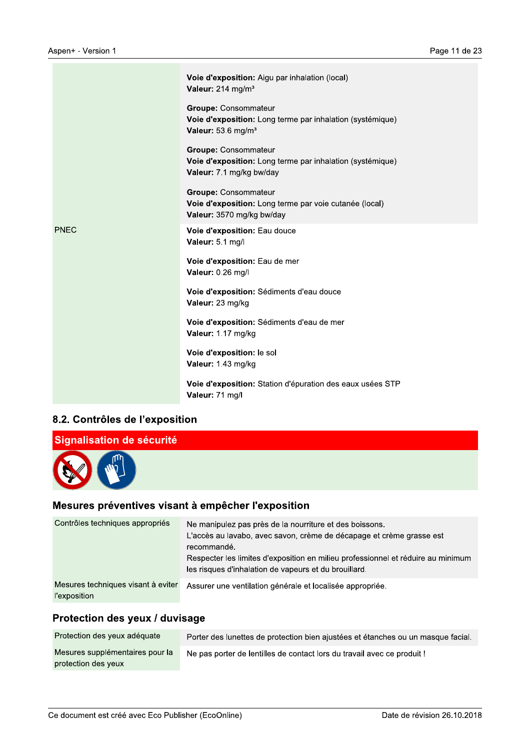|             | Voie d'exposition: Aigu par inhalation (local)<br>Valeur: 214 mg/m <sup>3</sup>                                            |
|-------------|----------------------------------------------------------------------------------------------------------------------------|
|             | <b>Groupe: Consommateur</b><br>Voie d'exposition: Long terme par inhalation (systémique)<br>Valeur: 53.6 mg/m <sup>3</sup> |
|             | Groupe: Consommateur<br>Voie d'exposition: Long terme par inhalation (systémique)<br>Valeur: 7.1 mg/kg bw/day              |
|             | <b>Groupe: Consommateur</b><br>Voie d'exposition: Long terme par voie cutanée (local)<br>Valeur: 3570 mg/kg bw/day         |
| <b>PNEC</b> | Voie d'exposition: Eau douce<br>Valeur: 5.1 mg/l                                                                           |
|             | Voie d'exposition: Eau de mer<br>Valeur: 0.26 mg/l                                                                         |
|             | Voie d'exposition: Sédiments d'eau douce<br>Valeur: 23 mg/kg                                                               |
|             | Voie d'exposition: Sédiments d'eau de mer<br>Valeur: 1.17 mg/kg                                                            |
|             | Voie d'exposition: le sol<br>Valeur: 1.43 mg/kg                                                                            |
|             | Voie d'exposition: Station d'épuration des eaux usées STP<br>Valeur: 71 mg/l                                               |

### 8.2. Contrôles de l'exposition



| Contrôles techniques appropriés                           | Ne manipulez pas près de la nourriture et des boissons.<br>L'accès au lavabo, avec savon, crème de décapage et crème grasse est<br>recommandé.<br>Respecter les limites d'exposition en milieu professionnel et réduire au minimum<br>les risques d'inhalation de vapeurs et du brouillard. |
|-----------------------------------------------------------|---------------------------------------------------------------------------------------------------------------------------------------------------------------------------------------------------------------------------------------------------------------------------------------------|
|                                                           |                                                                                                                                                                                                                                                                                             |
| Mesures techniques visant à eviter<br><i>l'exposition</i> | Assurer une ventilation générale et localisée appropriée.                                                                                                                                                                                                                                   |

### Protection des yeux / duvisage

| Protection des yeux adéquate                           | Porter des lunettes de protection bien ajustées et étanches ou un masque facial. |
|--------------------------------------------------------|----------------------------------------------------------------------------------|
| Mesures supplémentaires pour la<br>protection des yeux | Ne pas porter de lentilles de contact lors du travail avec ce produit!           |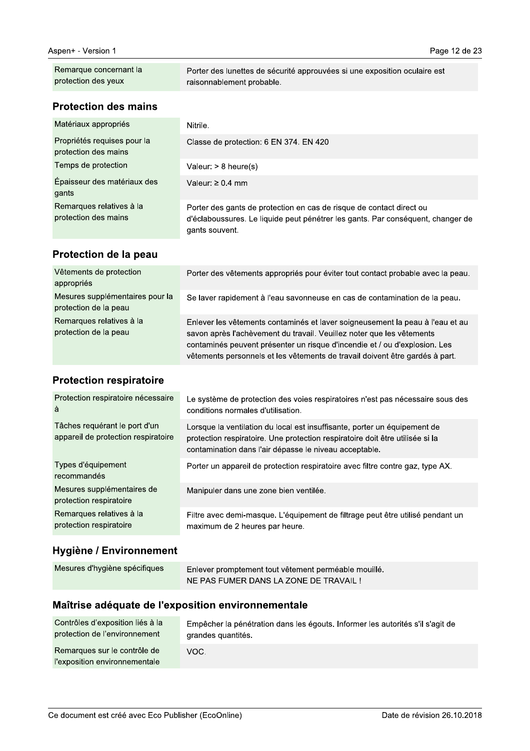| <b>Protection des mains</b>                   | raisonnablement probable.                                                 |
|-----------------------------------------------|---------------------------------------------------------------------------|
| Remarque concernant la<br>protection des yeux | Porter des lunettes de sécurité approuvées si une exposition oculaire est |

#### Matériaux appropriés Nitrile. Propriétés requises pour la Classe de protection: 6 EN 374. EN 420 protection des mains Temps de protection Valeur:  $> 8$  heure(s) Épaisseur des matériaux des Valeur:  $\geq 0.4$  mm gants Remarques relatives à la Porter des gants de protection en cas de risque de contact direct ou protection des mains d'éclaboussures. Le liquide peut pénétrer les gants. Par conséquent, changer de gants souvent.

#### Protection de la peau

| Vêtements de protection<br>appropriés                    | Porter des vêtements appropriés pour éviter tout contact probable avec la peau.                                                                                                                                                                                                                                      |
|----------------------------------------------------------|----------------------------------------------------------------------------------------------------------------------------------------------------------------------------------------------------------------------------------------------------------------------------------------------------------------------|
| Mesures supplémentaires pour la<br>protection de la peau | Se laver rapidement à l'eau savonneuse en cas de contamination de la peau.                                                                                                                                                                                                                                           |
| Remarques relatives à la<br>protection de la peau        | Enlever les vêtements contaminés et laver soigneusement la peau à l'eau et au<br>savon après l'achèvement du travail. Veuillez noter que les vêtements<br>contaminés peuvent présenter un risque d'incendie et / ou d'explosion. Les<br>vêtements personnels et les vêtements de travail doivent être gardés à part. |

### **Protection respiratoire**

| Protection respiratoire nécessaire<br>à                              | Le système de protection des voies respiratoires n'est pas nécessaire sous des<br>conditions normales d'utilisation.                                                                                                 |
|----------------------------------------------------------------------|----------------------------------------------------------------------------------------------------------------------------------------------------------------------------------------------------------------------|
| Tâches requérant le port d'un<br>appareil de protection respiratoire | Lorsque la ventilation du local est insuffisante, porter un équipement de<br>protection respiratoire. Une protection respiratoire doit être utilisée si la<br>contamination dans l'air dépasse le niveau acceptable. |
| Types d'équipement<br>recommandés                                    | Porter un appareil de protection respiratoire avec filtre contre gaz, type AX.                                                                                                                                       |
| Mesures supplémentaires de<br>protection respiratoire                | Manipuler dans une zone bien ventilée.                                                                                                                                                                               |
| Remarques relatives à la<br>protection respiratoire                  | Filtre avec demi-masque. L'équipement de filtrage peut être utilisé pendant un<br>maximum de 2 heures par heure.                                                                                                     |

#### Hygiène / Environnement

| Mesures d'hygiène spécifiques<br>Enlever promptement tout vêtement perméable mouillé.<br>NE PAS FUMER DANS LA ZONE DE TRAVAIL! |  |
|--------------------------------------------------------------------------------------------------------------------------------|--|
|--------------------------------------------------------------------------------------------------------------------------------|--|

#### Maîtrise adéquate de l'exposition environnementale

| Contrôles d'exposition liés à la                              | Empêcher la pénétration dans les égouts. Informer les autorités s'il s'agit de |
|---------------------------------------------------------------|--------------------------------------------------------------------------------|
| protection de l'environnement                                 | grandes quantités.                                                             |
| Remarques sur le contrôle de<br>l'exposition environnementale | VOC.                                                                           |

Page 12 de 23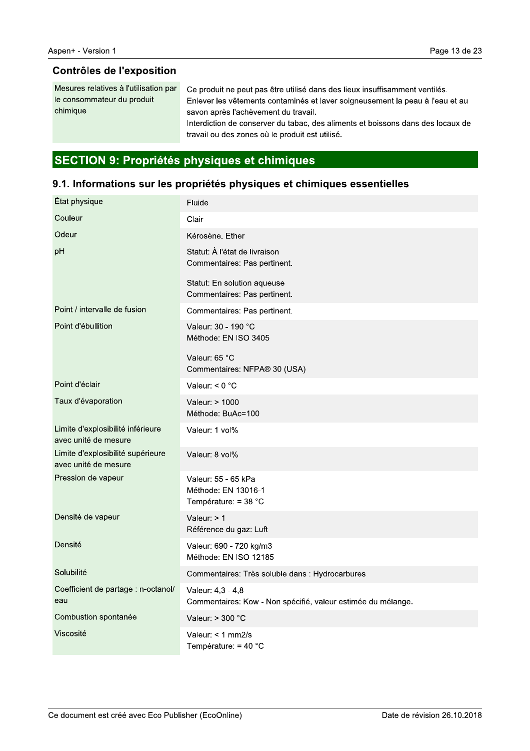#### **Contrôles de l'exposition**

Mesures relatives à l'utilisation par le consommateur du produit chimique

Ce produit ne peut pas être utilisé dans des lieux insuffisamment ventilés. Enlever les vêtements contaminés et laver soigneusement la peau à l'eau et au savon après l'achèvement du travail.

Interdiction de conserver du tabac, des aliments et boissons dans des locaux de travail ou des zones où le produit est utilisé.

# SECTION 9: Propriétés physiques et chimiques

#### 9.1. Informations sur les propriétés physiques et chimiques essentielles

| État physique                                             | Fluide.                                                                           |
|-----------------------------------------------------------|-----------------------------------------------------------------------------------|
| Couleur                                                   | Clair                                                                             |
| Odeur                                                     | Kérosène. Ether                                                                   |
| pH                                                        | Statut: À l'état de livraison<br>Commentaires: Pas pertinent.                     |
|                                                           | Statut: En solution aqueuse<br>Commentaires: Pas pertinent.                       |
| Point / intervalle de fusion                              | Commentaires: Pas pertinent.                                                      |
| Point d'ébullition                                        | Valeur: 30 - 190 °C<br>Méthode: EN ISO 3405                                       |
|                                                           | Valeur: 65 °C<br>Commentaires: NFPA® 30 (USA)                                     |
| Point d'éclair                                            | Valeur: $< 0$ °C                                                                  |
| Taux d'évaporation                                        | Valeur: > 1000<br>Méthode: BuAc=100                                               |
| Limite d'explosibilité inférieure<br>avec unité de mesure | Valeur: 1 vol%                                                                    |
| Limite d'explosibilité supérieure<br>avec unité de mesure | Valeur: 8 vol%                                                                    |
| Pression de vapeur                                        | Valeur: 55 - 65 kPa<br>Méthode: EN 13016-1<br>Température: = $38 °C$              |
| Densité de vapeur                                         | Valeur: $> 1$<br>Référence du gaz: Luft                                           |
| Densité                                                   | Valeur: 690 - 720 kg/m3<br>Méthode: EN ISO 12185                                  |
| Solubilité                                                | Commentaires: Très soluble dans : Hydrocarbures.                                  |
| Coefficient de partage : n-octanol/<br>eau                | Valeur: 4,3 - 4,8<br>Commentaires: Kow - Non spécifié, valeur estimée du mélange. |
| Combustion spontanée                                      | Valeur: $>$ 300 $^{\circ}$ C                                                      |
| Viscosité                                                 | Valeur: $<$ 1 mm2/s<br>Température: $=$ 40 °C                                     |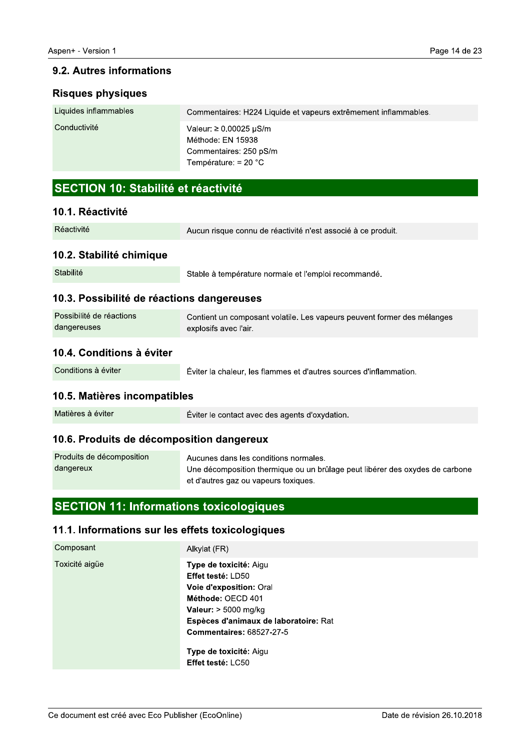# 9.2. Autres informations

# Risques pnysiques

| Liquides inflammables | Commentaires: H224 Liquide et vapeurs extrêmement inflammables.                                      |
|-----------------------|------------------------------------------------------------------------------------------------------|
| Conductivité          | Valeur: $\geq 0.00025$ µS/m<br>Méthode: EN 15938<br>Commentaires: 250 pS/m<br>Température: $= 20 °C$ |

# SECTION 10: Stabilité et réactivité

# 10.1. Reactivite

| Réactivité | Aucun risque connu de réactivité n'est associé à ce produit. |
|------------|--------------------------------------------------------------|
|            |                                                              |

# 10.2. Stabilite chimique

# 10.3. Possibilité de reactiol

| 10.1. Réactivité                           |                                                                                                  |  |
|--------------------------------------------|--------------------------------------------------------------------------------------------------|--|
| Réactivité                                 | Aucun risque connu de réactivité n'est associé à ce produit.                                     |  |
| 10.2. Stabilité chimique                   |                                                                                                  |  |
| Stabilité                                  | Stable à température normale et l'emploi recommandé.                                             |  |
| 10.3. Possibilité de réactions dangereuses |                                                                                                  |  |
| Possibilité de réactions<br>dangereuses    | Contient un composant volatile. Les vapeurs peuvent former des mélanges<br>explosifs avec l'air. |  |
| 10.4. Conditions à éviter                  |                                                                                                  |  |
| Conditions à éviter                        | Eviter la chaleur, les flammes et d'autres sources d'inflammation.                               |  |
| 10.5. Matières incompatibles               |                                                                                                  |  |

# tions a eviter

# 10.5. Matieres incompatibles

|--|

### 10.6. Produits de decompositio

| 10.4. Conditions à éviter                        |                                                                                                                                                               |
|--------------------------------------------------|---------------------------------------------------------------------------------------------------------------------------------------------------------------|
| Conditions à éviter                              | Éviter la chaleur, les flammes et d'autres sources d'inflammation.                                                                                            |
| 10.5. Matières incompatibles                     |                                                                                                                                                               |
| Matières à éviter                                | Éviter le contact avec des agents d'oxydation.                                                                                                                |
| 10.6. Produits de décomposition dangereux        |                                                                                                                                                               |
| Produits de décomposition<br>dangereux           | Aucunes dans les conditions normales.<br>Une décomposition thermique ou un brûlage peut libérer des oxydes de carbone<br>et d'autres gaz ou vapeurs toxiques. |
| <b>SECTION 11: Informations toxicologiques</b>   |                                                                                                                                                               |
| 11.1. Informations sur les effets toxicologiques |                                                                                                                                                               |
| O <sub>2</sub>                                   |                                                                                                                                                               |

# <u>ons toxicologiques</u>

# 11.1. Informations sur les effets toxicologiques

| 10.5. Matieres incompatibles                     |                                                                                                                                                                                                                             |
|--------------------------------------------------|-----------------------------------------------------------------------------------------------------------------------------------------------------------------------------------------------------------------------------|
| Matières à éviter                                | Eviter le contact avec des agents d'oxydation.                                                                                                                                                                              |
| 10.6. Produits de décomposition dangereux        |                                                                                                                                                                                                                             |
| Produits de décomposition<br>dangereux           | Aucunes dans les conditions normales.<br>Une décomposition thermique ou un brûlage peut<br>et d'autres gaz ou vapeurs toxiques.                                                                                             |
| <b>SECTION 11: Informations toxicologiques</b>   |                                                                                                                                                                                                                             |
| 11.1. Informations sur les effets toxicologiques |                                                                                                                                                                                                                             |
| Composant                                        | Alkylat (FR)                                                                                                                                                                                                                |
| Toxicité aigüe                                   | Type de toxicité: Aigu<br>Effet testé: LD50<br>Voie d'exposition: Oral<br>Méthode: OECD 401<br>Valeur: $> 5000$ mg/kg<br>Espèces d'animaux de laboratoire: Rat<br><b>Commentaires: 68527-27-5</b><br>Type de toxicité: Aigu |
|                                                  | Effet testé: LC50                                                                                                                                                                                                           |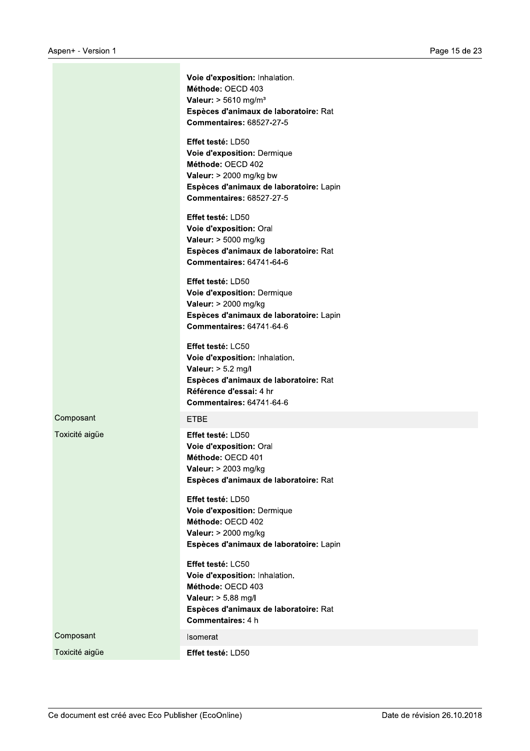|                | Voie d'exposition: Inhalation.<br>Méthode: OECD 403<br>Valeur: $> 5610$ mg/m <sup>3</sup><br>Espèces d'animaux de laboratoire: Rat<br><b>Commentaires: 68527-27-5</b>                     |
|----------------|-------------------------------------------------------------------------------------------------------------------------------------------------------------------------------------------|
|                | Effet testé: LD50<br>Voie d'exposition: Dermique<br>Méthode: OECD 402<br>Valeur: $> 2000$ mg/kg bw<br>Espèces d'animaux de laboratoire: Lapin<br><b>Commentaires: 68527-27-5</b>          |
|                | <b>Effet testé: LD50</b><br>Voie d'exposition: Oral<br>Valeur: > 5000 mg/kg<br>Espèces d'animaux de laboratoire: Rat<br><b>Commentaires: 64741-64-6</b>                                   |
|                | Effet testé: LD50<br>Voie d'exposition: Dermique<br>Valeur: > 2000 mg/kg<br>Espèces d'animaux de laboratoire: Lapin<br><b>Commentaires: 64741-64-6</b>                                    |
|                | <b>Effet testé: LC50</b><br>Voie d'exposition: Inhalation.<br>Valeur: $> 5.2$ mg/l<br>Espèces d'animaux de laboratoire: Rat<br>Référence d'essai: 4 hr<br><b>Commentaires: 64741-64-6</b> |
| Composant      | <b>ETBE</b>                                                                                                                                                                               |
| Toxicité aigüe | Effet testé: LD50<br>Voie d'exposition: Oral<br>Méthode: OECD 401<br>Valeur: > 2003 mg/kg<br>Espèces d'animaux de laboratoire: Rat                                                        |
|                | Effet testé: LD50<br>Voie d'exposition: Dermique<br>Méthode: OECD 402<br>Valeur: > 2000 mg/kg<br>Espèces d'animaux de laboratoire: Lapin                                                  |
|                | Effet testé: LC50<br>Voie d'exposition: Inhalation.<br>Méthode: OECD 403<br>Valeur: > 5.88 mg/l<br>Espèces d'animaux de laboratoire: Rat<br><b>Commentaires: 4 h</b>                      |
| Composant      | Isomerat                                                                                                                                                                                  |
| Toxicité aigüe | Effet testé: LD50                                                                                                                                                                         |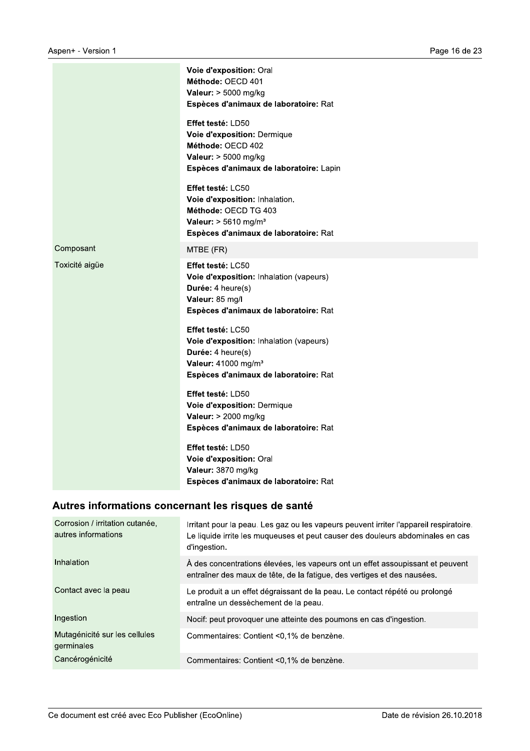|                | Voie d'exposition: Oral<br>Méthode: OECD 401<br>Valeur: $> 5000$ mg/kg<br>Espèces d'animaux de laboratoire: Rat<br>Effet testé: LD50                          |
|----------------|---------------------------------------------------------------------------------------------------------------------------------------------------------------|
|                | Voie d'exposition: Dermique<br>Méthode: OECD 402<br>Valeur: > 5000 mg/kg<br>Espèces d'animaux de laboratoire: Lapin                                           |
|                | Effet testé: LC50<br>Voie d'exposition: Inhalation.<br>Méthode: OECD TG 403<br>Valeur: $> 5610$ mg/m <sup>3</sup><br>Espèces d'animaux de laboratoire: Rat    |
| Composant      | MTBE (FR)                                                                                                                                                     |
| Toxicité aigüe | Effet testé: LC50<br>Voie d'exposition: Inhalation (vapeurs)<br>Durée: 4 heure(s)<br>Valeur: 85 mg/l<br>Espèces d'animaux de laboratoire: Rat                 |
|                | Effet testé: LC50<br>Voie d'exposition: Inhalation (vapeurs)<br>Durée: 4 heure(s)<br>Valeur: 41000 mg/m <sup>3</sup><br>Espèces d'animaux de laboratoire: Rat |
|                | Effet testé: LD50<br>Voie d'exposition: Dermique<br>Valeur: > 2000 mg/kg<br>Espèces d'animaux de laboratoire: Rat                                             |
|                | Effet testé: LD50<br>Voie d'exposition: Oral<br>Valeur: 3870 mg/kg<br>Espèces d'animaux de laboratoire: Rat                                                   |

# Autres informations concernant les risques de santé

| Corrosion / irritation cutanée.<br>autres informations | Irritant pour la peau. Les gaz ou les vapeurs peuvent irriter l'appareil respiratoire.<br>Le liquide irrite les muqueuses et peut causer des douleurs abdominales en cas<br>d'ingestion. |
|--------------------------------------------------------|------------------------------------------------------------------------------------------------------------------------------------------------------------------------------------------|
| Inhalation                                             | À des concentrations élevées, les vapeurs ont un effet assoupissant et peuvent<br>entraîner des maux de tête, de la fatique, des vertiges et des nausées.                                |
| Contact avec la peau                                   | Le produit a un effet dégraissant de la peau. Le contact répété ou prolongé<br>entraîne un dessèchement de la peau.                                                                      |
| Ingestion                                              | Nocif: peut provoquer une atteinte des poumons en cas d'ingestion.                                                                                                                       |
| Mutagénicité sur les cellules<br>germinales            | Commentaires: Contient <0,1% de benzène.                                                                                                                                                 |
| Cancérogénicité                                        | Commentaires: Contient <0.1% de benzène.                                                                                                                                                 |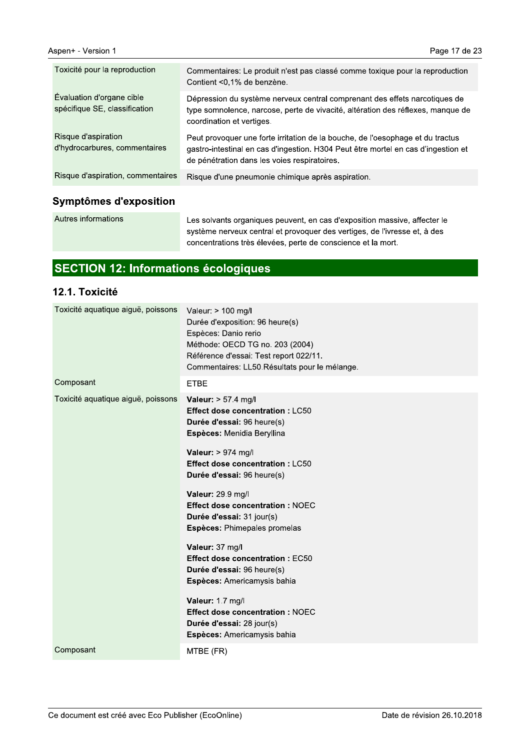| Toxicité pour la reproduction                              | Commentaires: Le produit n'est pas classé comme toxique pour la reproduction<br>Contient <0,1% de benzène.                                                                                                          |
|------------------------------------------------------------|---------------------------------------------------------------------------------------------------------------------------------------------------------------------------------------------------------------------|
| Evaluation d'organe cible<br>spécifique SE, classification | Dépression du système nerveux central comprenant des effets narcotiques de<br>type somnolence, narcose, perte de vivacité, altération des réflexes, manque de<br>coordination et vertiges.                          |
| Risque d'aspiration<br>d'hydrocarbures, commentaires       | Peut provoquer une forte irritation de la bouche, de l'oesophage et du tractus<br>gastro-intestinal en cas d'ingestion. H304 Peut être mortel en cas d'ingestion et<br>de pénétration dans les voies respiratoires. |
| Risque d'aspiration, commentaires                          | Risque d'une pneumonie chimique après aspiration.                                                                                                                                                                   |
|                                                            |                                                                                                                                                                                                                     |

### Symptômes d'exposition

Autres informations

Les solvants organiques peuvent, en cas d'exposition massive, affecter le système nerveux central et provoquer des vertiges, de l'ivresse et, à des concentrations très élevées, perte de conscience et la mort.

# SECTION 12: Informations écologiques

#### 12.1. Toxicité

| Toxicité aquatique aiguë, poissons | Valeur: > 100 mg/l<br>Durée d'exposition: 96 heure(s)<br>Espèces: Danio rerio<br>Méthode: OECD TG no. 203 (2004)<br>Référence d'essai: Test report 022/11.<br>Commentaires: LL50. Résultats pour le mélange.                                                                                                                                                                                                                                                                                                                                                                 |
|------------------------------------|------------------------------------------------------------------------------------------------------------------------------------------------------------------------------------------------------------------------------------------------------------------------------------------------------------------------------------------------------------------------------------------------------------------------------------------------------------------------------------------------------------------------------------------------------------------------------|
| Composant                          | <b>ETBE</b>                                                                                                                                                                                                                                                                                                                                                                                                                                                                                                                                                                  |
| Toxicité aquatique aiguë, poissons | Valeur: $> 57.4$ mg/l<br><b>Effect dose concentration: LC50</b><br>Durée d'essai: 96 heure(s)<br>Espèces: Menidia Beryllina<br>Valeur: $> 974$ mg/l<br><b>Effect dose concentration: LC50</b><br>Durée d'essai: 96 heure(s)<br>Valeur: 29.9 mg/l<br><b>Effect dose concentration: NOEC</b><br>Durée d'essai: 31 jour(s)<br>Espèces: Phimepales promelas<br>Valeur: 37 mg/l<br><b>Effect dose concentration: EC50</b><br>Durée d'essai: 96 heure(s)<br>Espèces: Americamysis bahia<br>Valeur: 1.7 mg/l<br><b>Effect dose concentration: NOEC</b><br>Durée d'essai: 28 jour(s) |
|                                    | Espèces: Americamysis bahia                                                                                                                                                                                                                                                                                                                                                                                                                                                                                                                                                  |
| Composant                          | MTBE (FR)                                                                                                                                                                                                                                                                                                                                                                                                                                                                                                                                                                    |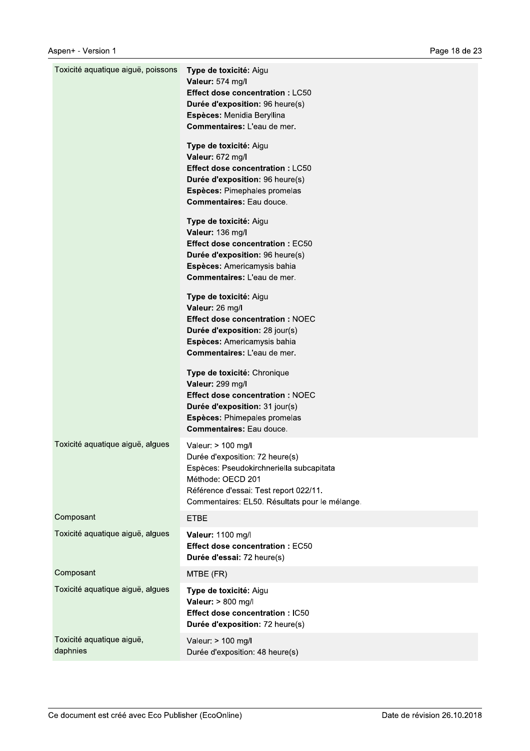| Toxicité aquatique aiguë, poissons    | Type de toxicité: Aigu<br>Valeur: 574 mg/l<br><b>Effect dose concentration: LC50</b><br>Durée d'exposition: 96 heure(s)<br>Espèces: Menidia Beryllina<br>Commentaires: L'eau de mer.                               |
|---------------------------------------|--------------------------------------------------------------------------------------------------------------------------------------------------------------------------------------------------------------------|
|                                       | Type de toxicité: Aigu<br>Valeur: 672 mg/l<br><b>Effect dose concentration: LC50</b><br>Durée d'exposition: 96 heure(s)<br>Espèces: Pimephales promelas<br><b>Commentaires: Eau douce.</b>                         |
|                                       | Type de toxicité: Aigu<br>Valeur: 136 mg/l<br><b>Effect dose concentration: EC50</b><br>Durée d'exposition: 96 heure(s)<br>Espèces: Americamysis bahia<br>Commentaires: L'eau de mer.                              |
|                                       | Type de toxicité: Aigu<br>Valeur: 26 mg/l<br><b>Effect dose concentration: NOEC</b><br>Durée d'exposition: 28 jour(s)<br>Espèces: Americamysis bahia<br>Commentaires: L'eau de mer.                                |
|                                       | Type de toxicité: Chronique<br>Valeur: 299 mg/l<br><b>Effect dose concentration: NOEC</b><br>Durée d'exposition: 31 jour(s)<br>Espèces: Phimepales promelas<br><b>Commentaires: Eau douce.</b>                     |
| Toxicité aquatique aiguë, algues      | Valeur: > 100 mg/l<br>Durée d'exposition: 72 heure(s)<br>Espèces: Pseudokirchneriella subcapitata<br>Méthode: OECD 201<br>Référence d'essai: Test report 022/11.<br>Commentaires: EL50. Résultats pour le mélange. |
| Composant                             | <b>ETBE</b>                                                                                                                                                                                                        |
| Toxicité aquatique aiguë, algues      | Valeur: 1100 mg/l<br><b>Effect dose concentration: EC50</b><br>Durée d'essai: 72 heure(s)                                                                                                                          |
| Composant                             | MTBE (FR)                                                                                                                                                                                                          |
| Toxicité aquatique aiguë, algues      | Type de toxicité: Aigu<br>Valeur: > 800 mg/l<br>Effect dose concentration : IC50<br>Durée d'exposition: 72 heure(s)                                                                                                |
| Toxicité aquatique aiguë,<br>daphnies | Valeur: > 100 mg/l<br>Durée d'exposition: 48 heure(s)                                                                                                                                                              |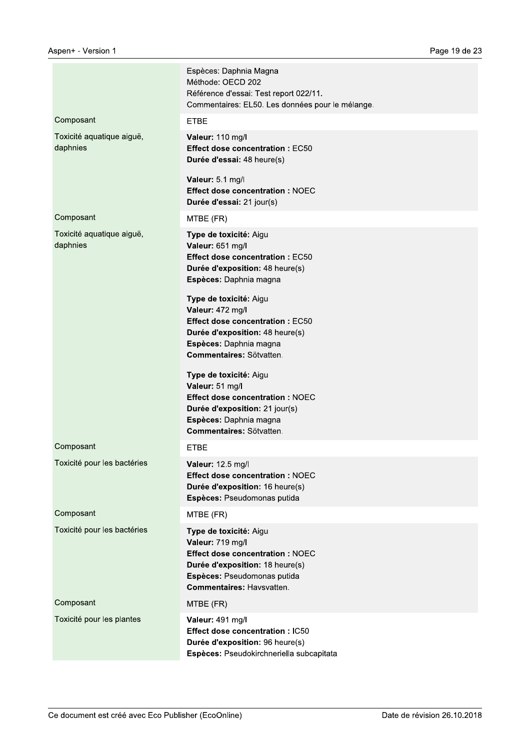|                                       | Espèces: Daphnia Magna<br>Méthode: OECD 202<br>Référence d'essai: Test report 022/11.<br>Commentaires: EL50. Les données pour le mélange.                                                  |
|---------------------------------------|--------------------------------------------------------------------------------------------------------------------------------------------------------------------------------------------|
| Composant                             | <b>ETBE</b>                                                                                                                                                                                |
| Toxicité aquatique aiguë,<br>daphnies | Valeur: 110 mg/l<br><b>Effect dose concentration: EC50</b><br>Durée d'essai: 48 heure(s)                                                                                                   |
|                                       | Valeur: 5.1 mg/l<br><b>Effect dose concentration: NOEC</b><br>Durée d'essai: 21 jour(s)                                                                                                    |
| Composant                             | MTBE (FR)                                                                                                                                                                                  |
| Toxicité aquatique aiguë,<br>daphnies | Type de toxicité: Aigu<br>Valeur: 651 mg/l<br><b>Effect dose concentration: EC50</b><br>Durée d'exposition: 48 heure(s)<br>Espèces: Daphnia magna                                          |
|                                       | Type de toxicité: Aigu<br>Valeur: 472 mg/l<br><b>Effect dose concentration: EC50</b><br>Durée d'exposition: 48 heure(s)<br>Espèces: Daphnia magna<br>Commentaires: Sötvatten.              |
|                                       | Type de toxicité: Aigu<br>Valeur: 51 mg/l<br><b>Effect dose concentration: NOEC</b><br>Durée d'exposition: 21 jour(s)<br>Espèces: Daphnia magna<br>Commentaires: Sötvatten.                |
| Composant                             | <b>ETBE</b>                                                                                                                                                                                |
| Toxicité pour les bactéries           | Valeur: 12.5 mg/l<br><b>Effect dose concentration: NOEC</b><br>Durée d'exposition: 16 heure(s)<br>Espèces: Pseudomonas putida                                                              |
| Composant                             | MTBE (FR)                                                                                                                                                                                  |
| Toxicité pour les bactéries           | Type de toxicité: Aigu<br>Valeur: 719 mg/l<br><b>Effect dose concentration: NOEC</b><br>Durée d'exposition: 18 heure(s)<br>Espèces: Pseudomonas putida<br><b>Commentaires: Havsvatten.</b> |
| Composant                             | MTBE (FR)                                                                                                                                                                                  |
| Toxicité pour les plantes             | Valeur: 491 mg/l<br><b>Effect dose concentration: IC50</b><br>Durée d'exposition: 96 heure(s)<br>Espèces: Pseudokirchneriella subcapitata                                                  |
|                                       |                                                                                                                                                                                            |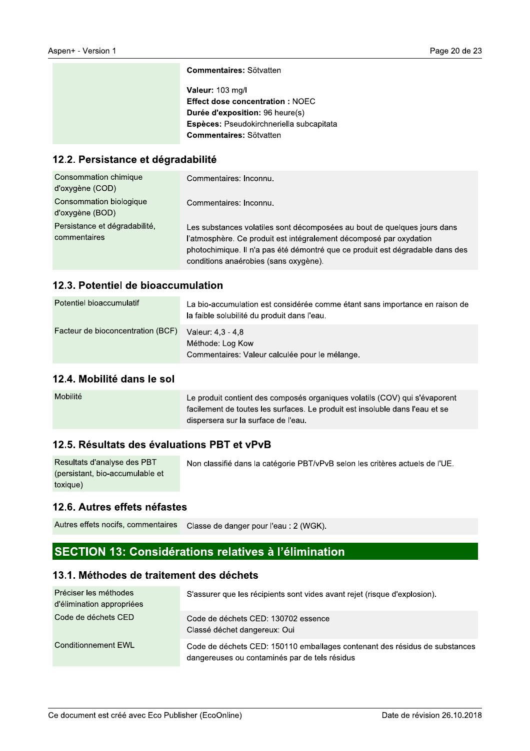| <b>Commentaires: Sötvatten</b> |  |
|--------------------------------|--|
|--------------------------------|--|

Valeur: 103 mg/l Effect dose concentration : NOEC Durée d'exposition: 96 heure(s) Espèces: Pseudokirchneriella subcapitata Commentaires: Sötvatten

#### 12.2. Persistance et dégradabilité

| Consommation chimique<br>d'oxygène (COD)      | Commentaires: Inconnu.                                                                                                                                                                                                                                                   |
|-----------------------------------------------|--------------------------------------------------------------------------------------------------------------------------------------------------------------------------------------------------------------------------------------------------------------------------|
| Consommation biologique<br>d'oxygène (BOD)    | Commentaires: Inconnu.                                                                                                                                                                                                                                                   |
| Persistance et dégradabilité,<br>commentaires | Les substances volatiles sont décomposées au bout de quelques jours dans<br>l'atmosphère. Ce produit est intégralement décomposé par oxydation<br>photochimique. Il n'a pas été démontré que ce produit est dégradable dans des<br>conditions anaérobies (sans oxygène). |

#### 12.3. Potentiel de bioaccumulation

| Potentiel bioaccumulatif          | La bio-accumulation est considérée comme étant sans importance en raison de<br>la faible solubilité du produit dans l'eau. |
|-----------------------------------|----------------------------------------------------------------------------------------------------------------------------|
| Facteur de bioconcentration (BCF) | Valeur: 4.3 - 4.8<br>Méthode: Log Kow<br>Commentaires: Valeur calculée pour le mélange.                                    |

#### 12.4. Mobilité dans le sol

| Mobilité | Le produit contient des composés organiques volatils (COV) qui s'évaporent<br>facilement de toutes les surfaces. Le produit est insoluble dans l'eau et se |
|----------|------------------------------------------------------------------------------------------------------------------------------------------------------------|
|          | dispersera sur la surface de l'eau.                                                                                                                        |

#### 12.5. Résultats des évaluations PBT et vPvB

| Resultats d'analyse des PBT     | Non classifié dans la catégorie PBT/vPvB selon les critères actuels de l'UE. |
|---------------------------------|------------------------------------------------------------------------------|
| (persistant, bio-accumulable et |                                                                              |
| toxique)                        |                                                                              |

#### 12.6. Autres effets néfastes

Autres effets nocifs, commentaires Classe de danger pour l'eau : 2 (WGK).

### SECTION 13: Considérations relatives à l'élimination

#### 13.1. Méthodes de traitement des déchets

| Préciser les méthodes<br>d'élimination appropriées | S'assurer que les récipients sont vides avant rejet (risque d'explosion).                                                   |
|----------------------------------------------------|-----------------------------------------------------------------------------------------------------------------------------|
| Code de déchets CED                                | Code de déchets CED: 130702 essence<br>Classé déchet dangereux: Oui                                                         |
| Conditionnement EWL                                | Code de déchets CED: 150110 emballages contenant des résidus de substances<br>dangereuses ou contaminés par de tels résidus |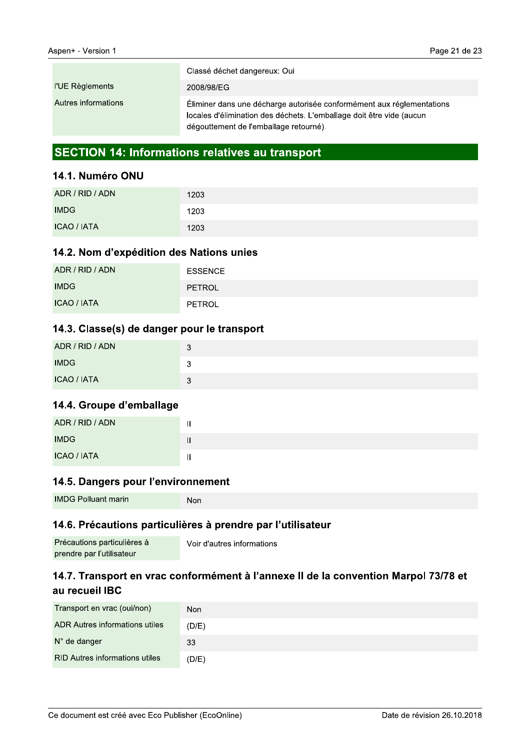|                     | Classé déchet dangereux: Oui                                                                                                                                                            |
|---------------------|-----------------------------------------------------------------------------------------------------------------------------------------------------------------------------------------|
| l'UE Règlements     | 2008/98/EG                                                                                                                                                                              |
| Autres informations | Éliminer dans une décharge autorisée conformément aux réglementations<br>locales d'élimination des déchets. L'emballage doit être vide (aucun<br>dégouttement de l'emballage retourné). |

### **SECTION 14: Informations relatives au transport**

#### 14.1. Numéro ONU

| ADR / RID / ADN    | 1203 |
|--------------------|------|
| <b>IMDG</b>        | 1203 |
| <b>ICAO / IATA</b> | 1203 |

#### 14.2. Nom d'expédition des Nations unies

| ADR / RID / ADN    | <b>ESSENCE</b> |
|--------------------|----------------|
| <b>IMDG</b>        | <b>PETROL</b>  |
| <b>ICAO / IATA</b> | PETROL         |

#### 14.3. Classe(s) de danger pour le transport

| ADR / RID / ADN    | 3 |
|--------------------|---|
| <b>IMDG</b>        | u |
| <b>ICAO / IATA</b> | ર |

#### 14.4. Groupe d'emballage

| ADR / RID / ADN    | . . |
|--------------------|-----|
| <b>IMDG</b>        |     |
| <b>ICAO / IATA</b> |     |

#### 14.5. Dangers pour l'environnement

| <b>IMDG Polluant marin</b> | Non |
|----------------------------|-----|
|----------------------------|-----|

#### 14.6. Précautions particulières à prendre par l'utilisateur

| Précautions particulières à | Voir d'autres informations |
|-----------------------------|----------------------------|
| prendre par l'utilisateur   |                            |

### 14.7. Transport en vrac conformément à l'annexe II de la convention Marpol 73/78 et au recueil IBC

| Transport en vrac (oui/non)           | <b>Non</b> |
|---------------------------------------|------------|
| <b>ADR Autres informations utiles</b> | (D/E)      |
| N° de danger                          | 33         |
| <b>RID Autres informations utiles</b> | (D/E)      |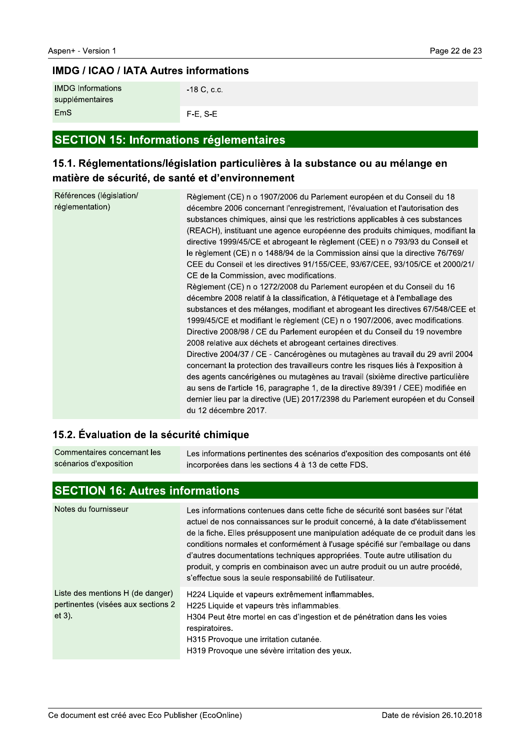# $\overline{I}$   $\overline{I}$   $\overline{I}$   $\overline{I}$   $\overline{C}$   $\overline{C}$   $\overline{I}$   $\overline{C}$   $\overline{I}$   $\overline{I}$   $\overline{C}$   $\overline{I}$   $\overline{C}$   $\overline{I}$   $\overline{C}$   $\overline{I}$   $\overline{C}$   $\overline{I}$   $\overline{C}$   $\overline{C}$   $\overline{I}$   $\overline{C}$   $\overline{C}$   $\overline{C}$   $\overline{$

| <b>IMDG</b> Informations<br>supplémentaires | -18 C, c.c. |
|---------------------------------------------|-------------|
| EmS                                         | $F-E. S-E$  |

#### **SECTION 15: Informations réglementaires**

### 15.1. Regiementations/legislation particulières à la substance ou au mélange en l matière de sécurité, de santé et d'environnement

| <b>IMDG Informations</b><br>-18 C, c.c.<br>supplémentaires<br>EmS<br>$F-E$ , S-E<br><b>SECTION 15: Informations réglementaires</b><br>15.1. Réglementations/législation particulières à la substance ou au mélange en<br>matière de sécurité, de santé et d'environnement |                                                                                                                                                                                                                                                                                                                                                                                                                                                                                                                                                                                                                                                                                                                                                                                                                                                                                                                                                                                                                                                                                                                                                                                                                                                                                                                                                                                                                                                                                                                                                                  |
|---------------------------------------------------------------------------------------------------------------------------------------------------------------------------------------------------------------------------------------------------------------------------|------------------------------------------------------------------------------------------------------------------------------------------------------------------------------------------------------------------------------------------------------------------------------------------------------------------------------------------------------------------------------------------------------------------------------------------------------------------------------------------------------------------------------------------------------------------------------------------------------------------------------------------------------------------------------------------------------------------------------------------------------------------------------------------------------------------------------------------------------------------------------------------------------------------------------------------------------------------------------------------------------------------------------------------------------------------------------------------------------------------------------------------------------------------------------------------------------------------------------------------------------------------------------------------------------------------------------------------------------------------------------------------------------------------------------------------------------------------------------------------------------------------------------------------------------------------|
| Références (législation/<br>réglementation)                                                                                                                                                                                                                               | Règlement (CE) n o 1907/2006 du Parlement européen et du Conseil du 18<br>décembre 2006 concernant l'enregistrement, l'évaluation et l'autorisation des<br>substances chimiques, ainsi que les restrictions applicables à ces substances<br>(REACH), instituant une agence européenne des produits chimiques, modifiant la<br>directive 1999/45/CE et abrogeant le règlement (CEE) n o 793/93 du Conseil et<br>le règlement (CE) n o 1488/94 de la Commission ainsi que la directive 76/769/<br>CEE du Conseil et les directives 91/155/CEE, 93/67/CEE, 93/105/CE et 2000/21/<br>CE de la Commission, avec modifications.<br>Règlement (CE) n o 1272/2008 du Parlement européen et du Conseil du 16<br>décembre 2008 relatif à la classification, à l'étiquetage et à l'emballage des<br>substances et des mélanges, modifiant et abrogeant les directives 67/548/CEE et<br>1999/45/CE et modifiant le règlement (CE) n o 1907/2006, avec modifications.<br>Directive 2008/98 / CE du Parlement européen et du Conseil du 19 novembre<br>2008 relative aux déchets et abrogeant certaines directives.<br>Directive 2004/37 / CE - Cancérogènes ou mutagènes au travail du 29 avril 2004<br>concernant la protection des travailleurs contre les risques liés à l'exposition à<br>des agents cancérigènes ou mutagènes au travail (sixième directive particulière<br>au sens de l'article 16, paragraphe 1, de la directive 89/391 / CEE) modifiée en<br>dernier lieu par la directive (UE) 2017/2398 du Parlement européen et du Conseil<br>du 12 décembre 2017. |

# 15.2. Evaluation de la securite chimique

Les informations pertinentes des scénarios d'exposition des composants ont été incorporées dans les sections 4 à 13 de cette FDS. Commentaires concernant les scénarios d'exposition

# SECTION 16: Autres Informations

| Notes du fournisseur                                                                | Les informations contenues dans cette fiche de sécurité sont basées sur l'état<br>actuel de nos connaissances sur le produit concerné, à la date d'établissement<br>de la fiche. Elles présupposent une manipulation adéquate de ce produit dans les<br>conditions normales et conformément à l'usage spécifié sur l'emballage ou dans<br>d'autres documentations techniques appropriées. Toute autre utilisation du<br>produit, y compris en combinaison avec un autre produit ou un autre procédé,<br>s'effectue sous la seule responsabilité de l'utilisateur. |
|-------------------------------------------------------------------------------------|-------------------------------------------------------------------------------------------------------------------------------------------------------------------------------------------------------------------------------------------------------------------------------------------------------------------------------------------------------------------------------------------------------------------------------------------------------------------------------------------------------------------------------------------------------------------|
| Liste des mentions H (de danger)<br>pertinentes (visées aux sections 2<br>$et 3$ ). | H224 Liquide et vapeurs extrêmement inflammables.<br>H225 Liquide et vapeurs très inflammables.<br>H304 Peut être mortel en cas d'ingestion et de pénétration dans les voies<br>respiratoires.<br>H315 Provoque une irritation cutanée.<br>H319 Provoque une sévère irritation des yeux.                                                                                                                                                                                                                                                                          |